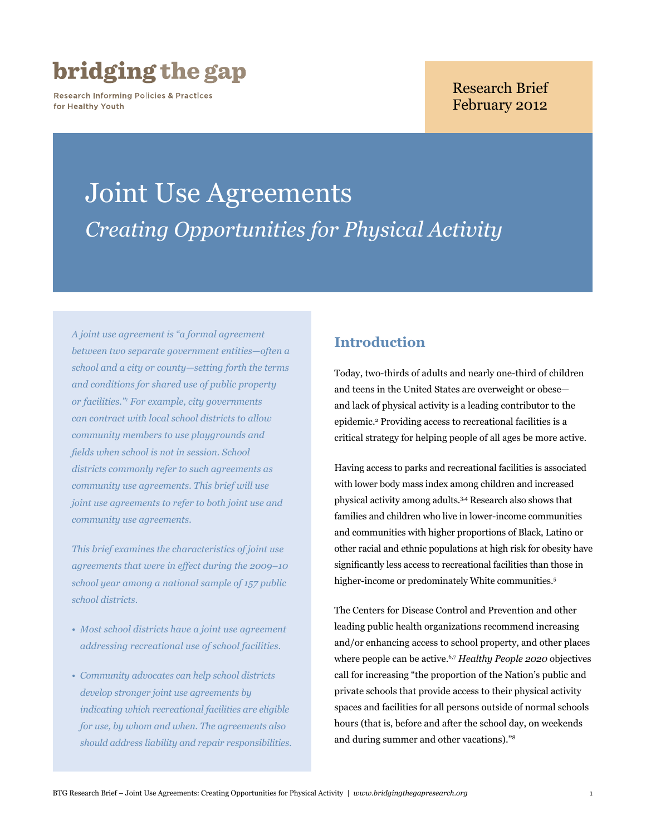## bridging the gap

**Research Informing Policies & Practices** for Healthy Youth

## Research Brief February 2012

# Joint Use Agreements *Creating Opportunities for Physical Activity*

*A joint use agreement is "a formal agreement between two separate government entities—often a school and a city or county—setting forth the terms and conditions for shared use of public property or facilities."1 For example, city governments can contract with local school districts to allow community members to use playgrounds and fields when school is not in session. School districts commonly refer to such agreements as community use agreements. This brief will use joint use agreements to refer to both joint use and community use agreements.*

*This brief examines the characteristics of joint use agreements that were in effect during the 2009–10 school year among a national sample of 157 public school districts.*

- *• Most school districts have a joint use agreement addressing recreational use of school facilities.*
- *• Community advocates can help school districts develop stronger joint use agreements by indicating which recreational facilities are eligible for use, by whom and when. The agreements also should address liability and repair responsibilities.*

## **Introduction**

Today, two-thirds of adults and nearly one-third of children and teens in the United States are overweight or obese and lack of physical activity is a leading contributor to the epidemic.2 Providing access to recreational facilities is a critical strategy for helping people of all ages be more active.

Having access to parks and recreational facilities is associated with lower body mass index among children and increased physical activity among adults.3,4 Research also shows that families and children who live in lower-income communities and communities with higher proportions of Black, Latino or other racial and ethnic populations at high risk for obesity have significantly less access to recreational facilities than those in higher-income or predominately White communities.<sup>5</sup>

The Centers for Disease Control and Prevention and other leading public health organizations recommend increasing and/or enhancing access to school property, and other places where people can be active.6,7 *Healthy People 2020* objectives call for increasing "the proportion of the Nation's public and private schools that provide access to their physical activity spaces and facilities for all persons outside of normal schools hours (that is, before and after the school day, on weekends and during summer and other vacations)."8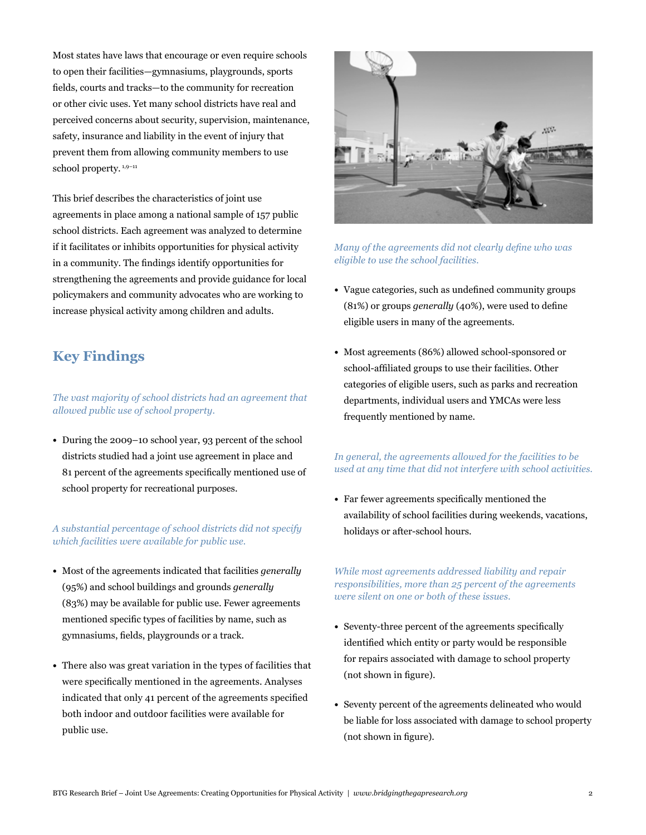Most states have laws that encourage or even require schools to open their facilities—gymnasiums, playgrounds, sports fields, courts and tracks—to the community for recreation or other civic uses. Yet many school districts have real and perceived concerns about security, supervision, maintenance, safety, insurance and liability in the event of injury that prevent them from allowing community members to use school property.<sup>1,9-11</sup>

This brief describes the characteristics of joint use agreements in place among a national sample of 157 public school districts. Each agreement was analyzed to determine if it facilitates or inhibits opportunities for physical activity in a community. The findings identify opportunities for strengthening the agreements and provide guidance for local policymakers and community advocates who are working to increase physical activity among children and adults.

## **Key Findings**

*The vast majority of school districts had an agreement that allowed public use of school property.*

**•**  During the 2009–10 school year, 93 percent of the school districts studied had a joint use agreement in place and 81 percent of the agreements specifically mentioned use of school property for recreational purposes.

*A substantial percentage of school districts did not specify which facilities were available for public use.* 

- **•**  Most of the agreements indicated that facilities *generally* (95%) and school buildings and grounds *generally* (83%) may be available for public use. Fewer agreements mentioned specific types of facilities by name, such as gymnasiums, fields, playgrounds or a track.
- **•**  There also was great variation in the types of facilities that were specifically mentioned in the agreements. Analyses indicated that only 41 percent of the agreements specified both indoor and outdoor facilities were available for public use.



*Many of the agreements did not clearly define who was eligible to use the school facilities.* 

- **•**  Vague categories, such as undefined community groups (81%) or groups *generally* (40%), were used to define eligible users in many of the agreements.
- Most agreements (86%) allowed school-sponsored or school-affiliated groups to use their facilities. Other categories of eligible users, such as parks and recreation departments, individual users and YMCAs were less frequently mentioned by name.

#### *In general, the agreements allowed for the facilities to be used at any time that did not interfere with school activities.*

**•**  Far fewer agreements specifically mentioned the availability of school facilities during weekends, vacations, holidays or after-school hours.

#### *While most agreements addressed liability and repair responsibilities, more than 25 percent of the agreements were silent on one or both of these issues.*

- Seventy-three percent of the agreements specifically identified which entity or party would be responsible for repairs associated with damage to school property (not shown in figure).
- **•**  Seventy percent of the agreements delineated who would be liable for loss associated with damage to school property (not shown in figure).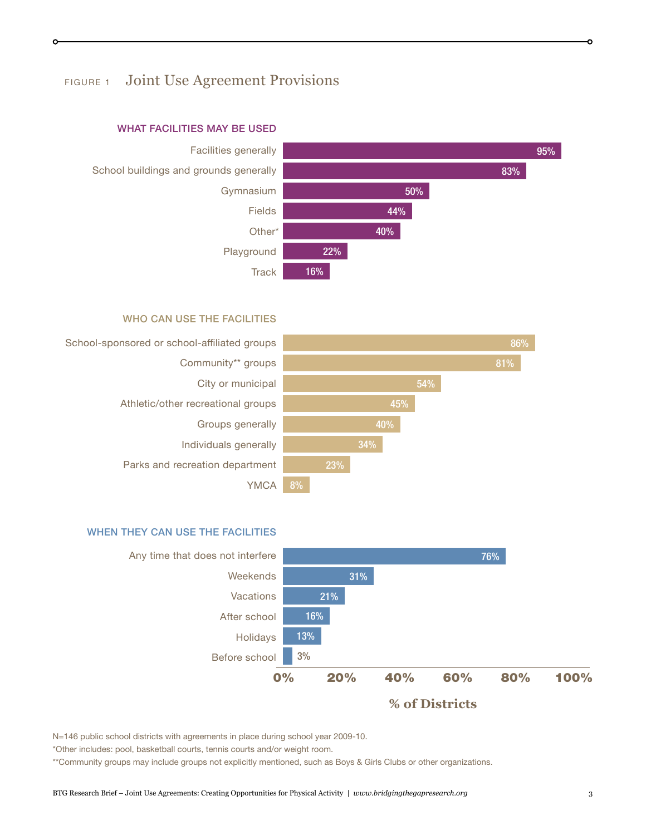## FIGURE 1 Joint Use Agreement Provisions



#### WHAT FACILITIES MAY BE USED

#### WHO CAN USE THE FACILITIES







N=146 public school districts with agreements in place during school year 2009-10.

\*Other includes: pool, basketball courts, tennis courts and/or weight room.

\*\*Community groups may include groups not explicitly mentioned, such as Boys & Girls Clubs or other organizations.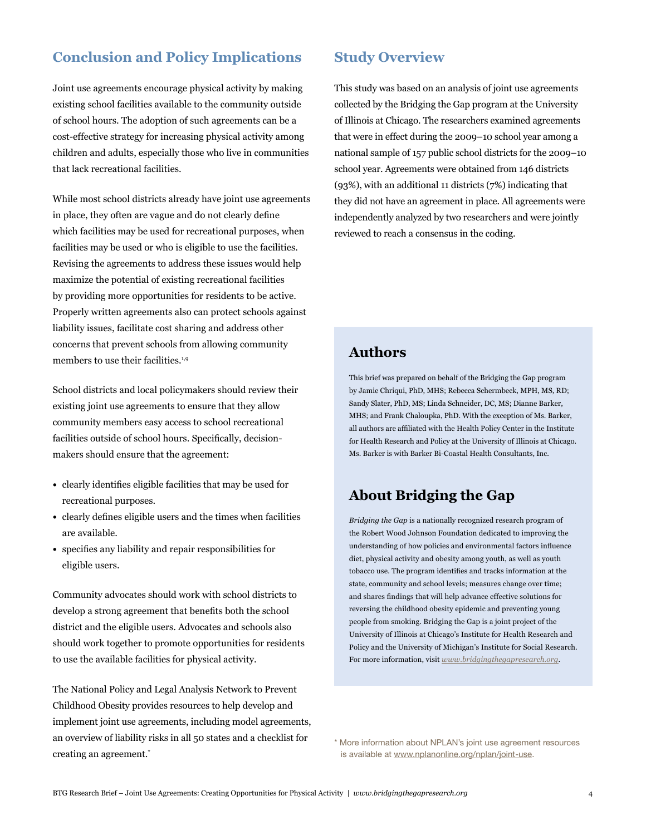## **Conclusion and Policy Implications**

Joint use agreements encourage physical activity by making existing school facilities available to the community outside of school hours. The adoption of such agreements can be a cost-effective strategy for increasing physical activity among children and adults, especially those who live in communities that lack recreational facilities.

While most school districts already have joint use agreements in place, they often are vague and do not clearly define which facilities may be used for recreational purposes, when facilities may be used or who is eligible to use the facilities. Revising the agreements to address these issues would help maximize the potential of existing recreational facilities by providing more opportunities for residents to be active. Properly written agreements also can protect schools against liability issues, facilitate cost sharing and address other concerns that prevent schools from allowing community members to use their facilities.<sup>1,9</sup>

School districts and local policymakers should review their existing joint use agreements to ensure that they allow community members easy access to school recreational facilities outside of school hours. Specifically, decisionmakers should ensure that the agreement:

- **•**  clearly identifies eligible facilities that may be used for recreational purposes.
- **•**  clearly defines eligible users and the times when facilities are available.
- **•**  specifies any liability and repair responsibilities for eligible users.

Community advocates should work with school districts to develop a strong agreement that benefits both the school district and the eligible users. Advocates and schools also should work together to promote opportunities for residents to use the available facilities for physical activity.

The National Policy and Legal Analysis Network to Prevent Childhood Obesity provides resources to help develop and implement joint use agreements, including model agreements, an overview of liability risks in all 50 states and a checklist for creating an agreement.\*

## **Study Overview**

This study was based on an analysis of joint use agreements collected by the Bridging the Gap program at the University of Illinois at Chicago. The researchers examined agreements that were in effect during the 2009–10 school year among a national sample of 157 public school districts for the 2009–10 school year. Agreements were obtained from 146 districts (93%), with an additional 11 districts (7%) indicating that they did not have an agreement in place. All agreements were independently analyzed by two researchers and were jointly reviewed to reach a consensus in the coding.

## **Authors**

This brief was prepared on behalf of the Bridging the Gap program by Jamie Chriqui, PhD, MHS; Rebecca Schermbeck, MPH, MS, RD; Sandy Slater, PhD, MS; Linda Schneider, DC, MS; Dianne Barker, MHS; and Frank Chaloupka, PhD. With the exception of Ms. Barker, all authors are affiliated with the Health Policy Center in the Institute for Health Research and Policy at the University of Illinois at Chicago. Ms. Barker is with Barker Bi-Coastal Health Consultants, Inc.

## **About Bridging the Gap**

*Bridging the Gap* is a nationally recognized research program of the Robert Wood Johnson Foundation dedicated to improving the understanding of how policies and environmental factors influence diet, physical activity and obesity among youth, as well as youth tobacco use. The program identifies and tracks information at the state, community and school levels; measures change over time; and shares findings that will help advance effective solutions for reversing the childhood obesity epidemic and preventing young people from smoking. Bridging the Gap is a joint project of the University of Illinois at Chicago's Institute for Health Research and Policy and the University of Michigan's Institute for Social Research. For more information, visit *www.bridgingthegapresearch.org*.

\* More information about NPLAN's joint use agreement resources is available at [www.nplanonline.org/nplan/joint-use](http://www.nplanonline.org/nplan/joint-use).